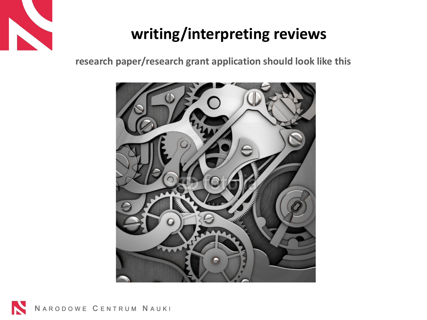

### **writing/interpreting reviews**

**research paper/research grant application should look like this**



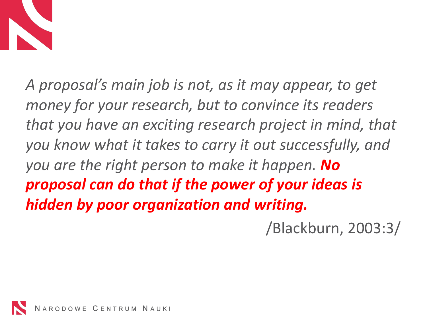

*A proposal's main job is not, as it may appear, to get money for your research, but to convince its readers that you have an exciting research project in mind, that you know what it takes to carry it out successfully, and you are the right person to make it happen. No proposal can do that if the power of your ideas is hidden by poor organization and writing.* 

/Blackburn, 2003:3/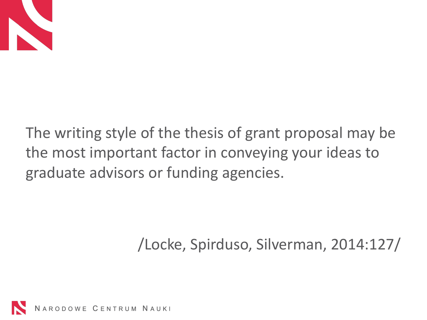

The writing style of the thesis of grant proposal may be the most important factor in conveying your ideas to graduate advisors or funding agencies.

/Locke, Spirduso, Silverman, 2014:127/

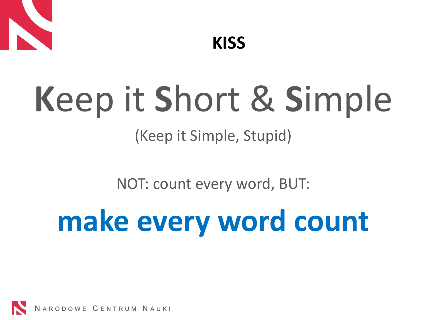

# **K**eep it **S**hort & **S**imple

### (Keep it Simple, Stupid)

NOT: count every word, BUT:

## **make every word count**

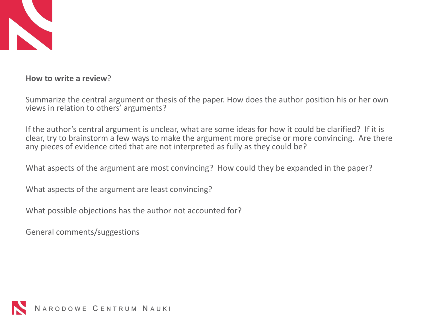

**How to write a review**?

Summarize the central argument or thesis of the paper. How does the author position his or her own views in relation to others' arguments?

If the author's central argument is unclear, what are some ideas for how it could be clarified? If it is clear, try to brainstorm a few ways to make the argument more precise or more convincing. Are there any pieces of evidence cited that are not interpreted as fully as they could be?

What aspects of the argument are most convincing? How could they be expanded in the paper?

What aspects of the argument are least convincing?

What possible objections has the author not accounted for?

General comments/suggestions

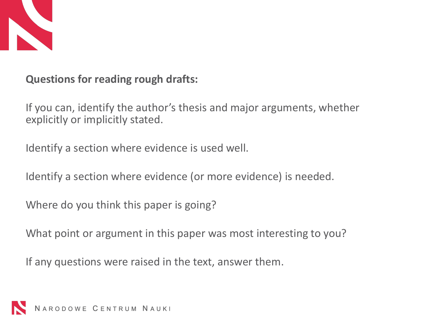

**Questions for reading rough drafts:**

If you can, identify the author's thesis and major arguments, whether explicitly or implicitly stated.

Identify a section where evidence is used well.

Identify a section where evidence (or more evidence) is needed.

Where do you think this paper is going?

What point or argument in this paper was most interesting to you?

If any questions were raised in the text, answer them.

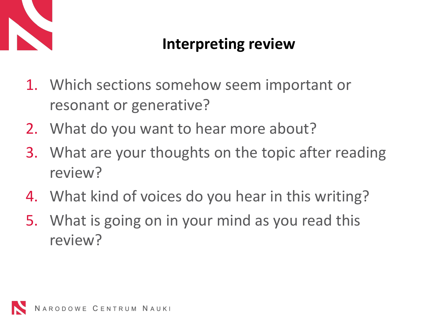

### **Interpreting review**

- 1. Which sections somehow seem important or resonant or generative?
- 2. What do you want to hear more about?
- 3. What are your thoughts on the topic after reading review?
- 4. What kind of voices do you hear in this writing?
- 5. What is going on in your mind as you read this review?